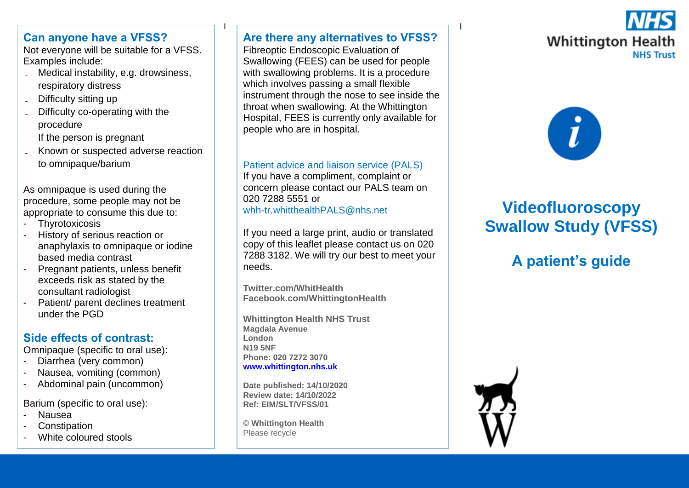### **Can anyone have a VFSS?**

Not everyone will be suitable for a VFSS. Examples include:

- Medical instability, e.g. drowsiness, respiratory distress
- Difficulty sitting up
- ˗ Difficulty co-operating with the procedure
- ˗ If the person is pregnant
- ˗ Known or suspected adverse reaction to omnipaque/barium

As omnipaque is used during the procedure, some people may not be appropriate to consume this due to:

- Thyrotoxicosis
- History of serious reaction or anaphylaxis to omnipaque or iodine based media contrast
- Pregnant patients, unless benefit exceeds risk as stated by the consultant radiologist
- Patient/ parent declines treatment under the PGD

# **Side effects of contrast:**

Omnipaque (specific to oral use):

- Diarrhea (very common)
- Nausea, vomiting (common)
- Abdominal pain (uncommon)

Barium (specific to oral use):

- **Nausea**
- **Constipation**
- White coloured stools

#### <u>I i provincia de la contrada de la contrada de la contrada de la contrada de la contrada de la contrada de la </u> **Are there any alternatives to VFSS?**

Fibreoptic Endoscopic Evaluation of Swallowing (FEES) can be used for people with swallowing problems. It is a procedure which involves passing a small flexible instrument through the nose to see inside the throat when swallowing. At the Whittington Hospital, FEES is currently only available for people who are in hospital.

#### Patient advice and liaison service (PALS)

If you have a compliment, complaint or concern please contact our PALS team on 020 7288 5551 or [whh-tr.whitthealthPALS@nhs.net](mailto:whh-tr.whitthealthPALS@nhs.net)

If you need a large print, audio or translated copy of this leaflet please contact us on 020 7288 3182. We will try our best to meet your needs.

**Twitter.com/WhitHealth Facebook.com/WhittingtonHealth**

**Whittington Health NHS Trust Magdala Avenue London N19 5NF Phone: 020 7272 3070 [www.whittington.nhs.uk](http://www.whittington.nhs.uk/)**

**Date published: 14/10/2020 Review date: 14/10/2022 Ref: EIM/SLT/VFSS/01**

**© Whittington Health** Please recycle





# **Videofluoroscopy Swallow Study (VFSS)**

# **A patient's guide**